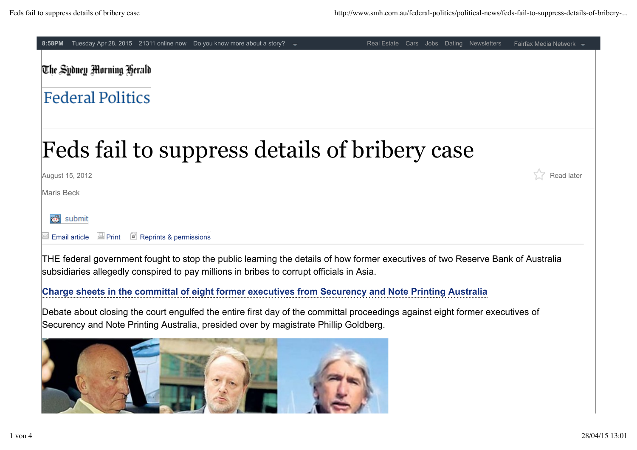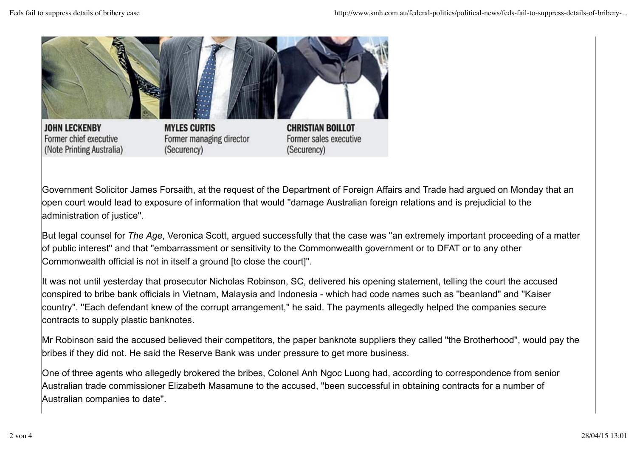

Government Solicitor James Forsaith, at the request of the Department of Foreign Affairs and Trade had argued on Monday that an open court would lead to exposure of information that would ''damage Australian foreign relations and is prejudicial to the administration of justice''.

But legal counsel for *The Age*, Veronica Scott, argued successfully that the case was ''an extremely important proceeding of a matter of public interest'' and that ''embarrassment or sensitivity to the Commonwealth government or to DFAT or to any other Commonwealth official is not in itself a ground [to close the court]''.

It was not until yesterday that prosecutor Nicholas Robinson, SC, delivered his opening statement, telling the court the accused conspired to bribe bank officials in Vietnam, Malaysia and Indonesia - which had code names such as ''beanland'' and ''Kaiser country''. ''Each defendant knew of the corrupt arrangement,'' he said. The payments allegedly helped the companies secure contracts to supply plastic banknotes.

Mr Robinson said the accused believed their competitors, the paper banknote suppliers they called ''the Brotherhood'', would pay the bribes if they did not. He said the Reserve Bank was under pressure to get more business.

One of three agents who allegedly brokered the bribes, Colonel Anh Ngoc Luong had, according to correspondence from senior Australian trade commissioner Elizabeth Masamune to the accused, ''been successful in obtaining contracts for a number of Australian companies to date''.